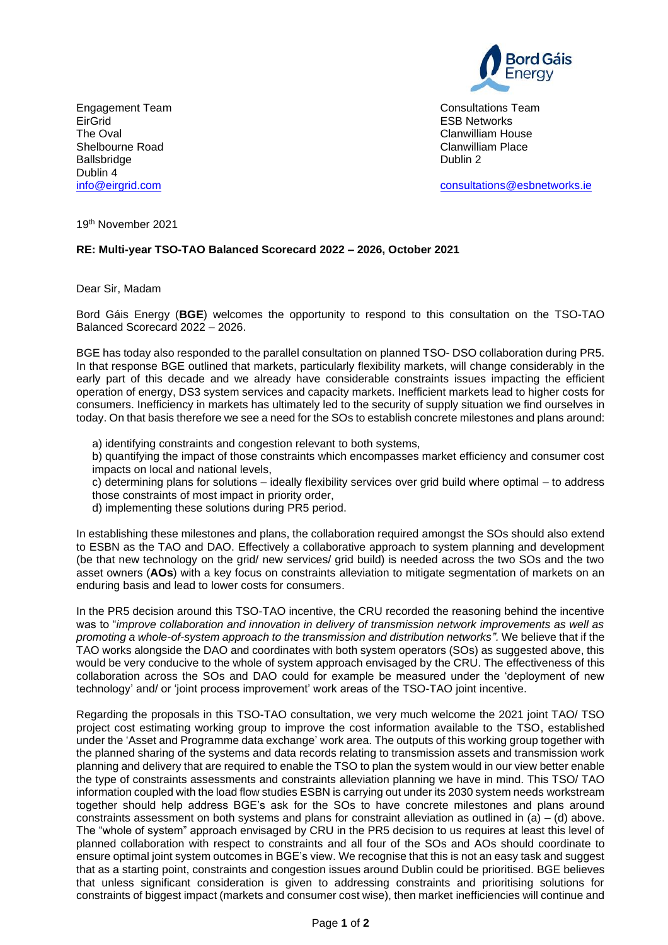

Engagement Team and the consultations Team Consultations Team and Team Consultations Team and Team and Team and Team and Team and Team and Team and Team and Team and Team and Team and Team and Team and Team and Team and Te **ESB Networks** 

[consultations@esbnetworks.ie](mailto:consultations@esbnetworks.ie)

The Oval **The Oval Clanwilliam House**<br>
Shelbourne Road **Clanwilliam House**<br>
Clanwilliam Place Shelbourne Road **Clanwilliam Place Clanwilliam Place Clanwilliam Place Clanwilliam Place Clanwilliam Place Place Place Place Place Place Place Place Place Place Place Place Place Place Place Place Place Place Place Place P** Ballsbridge Dublin 4<br>info@eirgrid.com

19th November 2021

## **RE: Multi-year TSO-TAO Balanced Scorecard 2022 – 2026, October 2021**

Dear Sir, Madam

Bord Gáis Energy (**BGE**) welcomes the opportunity to respond to this consultation on the TSO-TAO Balanced Scorecard 2022 – 2026.

BGE has today also responded to the parallel consultation on planned TSO- DSO collaboration during PR5. In that response BGE outlined that markets, particularly flexibility markets, will change considerably in the early part of this decade and we already have considerable constraints issues impacting the efficient operation of energy, DS3 system services and capacity markets. Inefficient markets lead to higher costs for consumers. Inefficiency in markets has ultimately led to the security of supply situation we find ourselves in today. On that basis therefore we see a need for the SOs to establish concrete milestones and plans around:

a) identifying constraints and congestion relevant to both systems,

b) quantifying the impact of those constraints which encompasses market efficiency and consumer cost impacts on local and national levels,

c) determining plans for solutions – ideally flexibility services over grid build where optimal – to address those constraints of most impact in priority order,

d) implementing these solutions during PR5 period.

In establishing these milestones and plans, the collaboration required amongst the SOs should also extend to ESBN as the TAO and DAO. Effectively a collaborative approach to system planning and development (be that new technology on the grid/ new services/ grid build) is needed across the two SOs and the two asset owners (**AOs**) with a key focus on constraints alleviation to mitigate segmentation of markets on an enduring basis and lead to lower costs for consumers.

In the PR5 decision around this TSO-TAO incentive, the CRU recorded the reasoning behind the incentive was to "*improve collaboration and innovation in delivery of transmission network improvements as well as promoting a whole-of-system approach to the transmission and distribution networks".* We believe that if the TAO works alongside the DAO and coordinates with both system operators (SOs) as suggested above, this would be very conducive to the whole of system approach envisaged by the CRU. The effectiveness of this collaboration across the SOs and DAO could for example be measured under the 'deployment of new technology' and/ or 'joint process improvement' work areas of the TSO-TAO joint incentive.

Regarding the proposals in this TSO-TAO consultation, we very much welcome the 2021 joint TAO/ TSO project cost estimating working group to improve the cost information available to the TSO, established under the 'Asset and Programme data exchange' work area. The outputs of this working group together with the planned sharing of the systems and data records relating to transmission assets and transmission work planning and delivery that are required to enable the TSO to plan the system would in our view better enable the type of constraints assessments and constraints alleviation planning we have in mind. This TSO/ TAO information coupled with the load flow studies ESBN is carrying out under its 2030 system needs workstream together should help address BGE's ask for the SOs to have concrete milestones and plans around constraints assessment on both systems and plans for constraint alleviation as outlined in (a) – (d) above. The "whole of system" approach envisaged by CRU in the PR5 decision to us requires at least this level of planned collaboration with respect to constraints and all four of the SOs and AOs should coordinate to ensure optimal joint system outcomes in BGE's view. We recognise that this is not an easy task and suggest that as a starting point, constraints and congestion issues around Dublin could be prioritised. BGE believes that unless significant consideration is given to addressing constraints and prioritising solutions for constraints of biggest impact (markets and consumer cost wise), then market inefficiencies will continue and